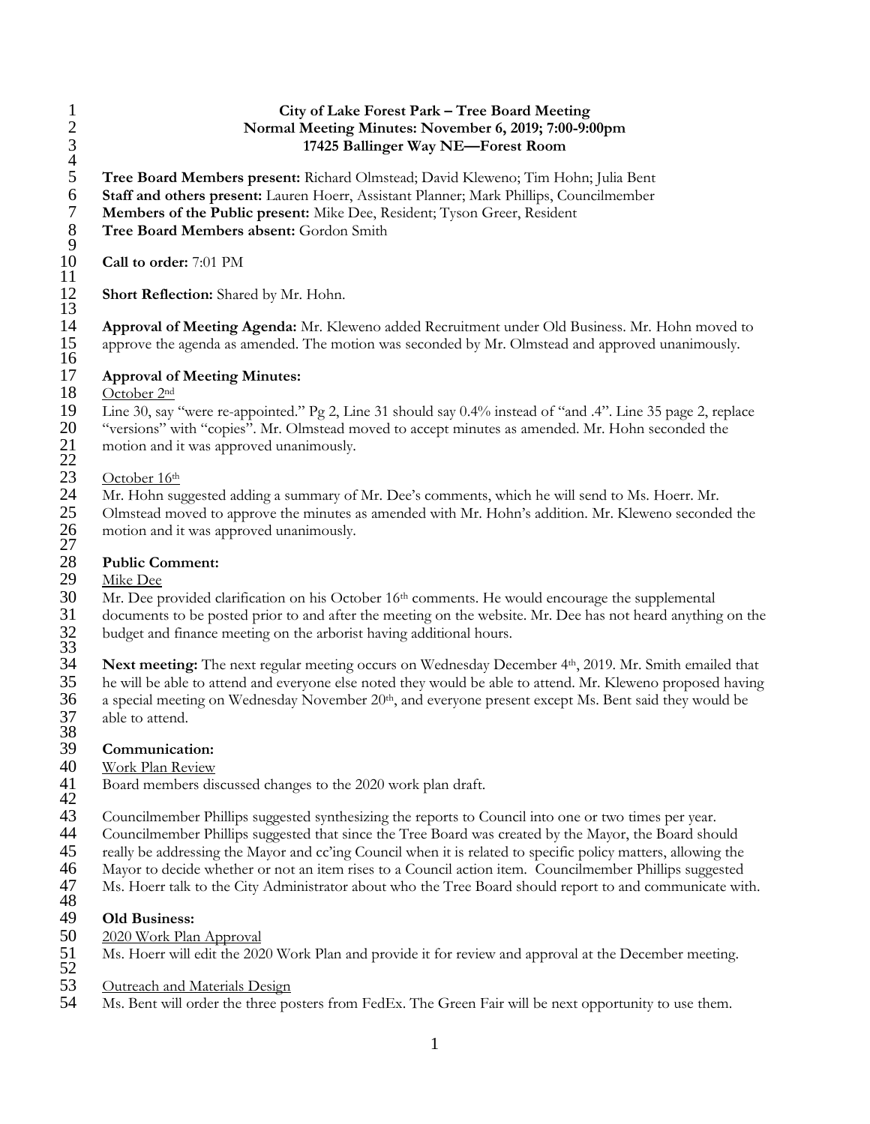### 1 **City of Lake Forest Park – Tree Board Meeting** 2 **Normal Meeting Minutes: November 6, 2019; 7:00-9:00pm** 3 **17425 Ballinger Way NE—Forest Room**

4 **Tree Board Members present:** Richard Olmstead; David Kleweno; Tim Hohn; Julia Bent **Staff and others present:** Lauren Hoerr, Assistant Planner; Mark Phillips, Councilmember **Members of the Public present:** Mike Dee, Resident; Tyson Greer, Resident

8 **Tree Board Members absent:** Gordon Smith 9

10 **Call to order:** 7:01 PM 11

**Short Reflection:** Shared by Mr. Hohn.

 $\frac{12}{13}$ <br>14 14 **Approval of Meeting Agenda:** Mr. Kleweno added Recruitment under Old Business. Mr. Hohn moved to approve the agenda as amended. The motion was seconded by Mr. Olmstead and approved unanimously.  $\frac{15}{16}$ 

## 17 **Approval of Meeting Minutes:**

### October 2<sup>nd</sup>

19 Line 30, say "were re-appointed." Pg 2, Line 31 should say 0.4% instead of "and .4". Line 35 page 2, replace "versions" with "copies". Mr. Olmstead moved to accept minutes as amended. Mr. Hohn seconded the "versions" with "copies". Mr. Olmstead moved to accept minutes as amended. Mr. Hohn seconded the motion and it was approved unanimously.

- $\frac{21}{22}$ <br>23
- $\frac{23}{24}$  October 16<sup>th</sup>
- 24 Mr. Hohn suggested adding a summary of Mr. Dee's comments, which he will send to Ms. Hoerr. Mr. 25 Olmstead moved to approve the minutes as amended with Mr. Hohn's addition. Mr. Kleweno seconde 25 Olmstead moved to approve the minutes as amended with Mr. Hohn's addition. Mr. Kleweno seconded the motion and it was approved unanimously.  $\frac{26}{27}$ <br>28

# 28 **Public Comment:**

 $\frac{29}{30}$  Mike Dee<br>30 Mr. Dee p Mr. Dee provided clarification on his October 16<sup>th</sup> comments. He would encourage the supplemental 31 documents to be posted prior to and after the meeting on the website. Mr. Dee has not heard anything on the budget and finance meeting on the arborist having additional hours.

32<br>33<br>34

**Next meeting:** The next regular meeting occurs on Wednesday December 4<sup>th</sup>, 2019. Mr. Smith emailed that he will be able to attend and everyone else noted they would be able to attend. Mr. Kleweno proposed having 35 he will be able to attend and everyone else noted they would be able to attend. Mr. Kleweno proposed having a special meeting on Wednesday November  $20<sup>th</sup>$ , and everyone present except Ms. Bent said they would be a special meeting on Wednesday November 20<sup>th</sup>, and everyone present except Ms. Bent said they would be 37 able to attend.

38<br>39

## 39 **Communication:**

## Work Plan Review

- 41 Board members discussed changes to the 2020 work plan draft.
- 42<br>43
- 43 Councilmember Phillips suggested synthesizing the reports to Council into one or two times per year.<br>44 Councilmember Phillips suggested that since the Tree Board was created by the Mayor, the Board sho 44 Councilmember Phillips suggested that since the Tree Board was created by the Mayor, the Board should
- 
- 45 really be addressing the Mayor and cc'ing Council when it is related to specific policy matters, allowing the<br>46 Mayor to decide whether or not an item rises to a Council action item. Councilmember Phillips suggested
- Mayor to decide whether or not an item rises to a Council action item. Councilmember Phillips suggested
- 47 Ms. Hoerr talk to the City Administrator about who the Tree Board should report to and communicate with. 48

- 49 **Old Business:** 50 2020 Work Plan Approval
- 51 Ms. Hoerr will edit the 2020 Work Plan and provide it for review and approval at the December meeting.
- 52
- 53 Outreach and Materials Design<br>54 Ms. Bent will order the three po
- Ms. Bent will order the three posters from FedEx. The Green Fair will be next opportunity to use them.